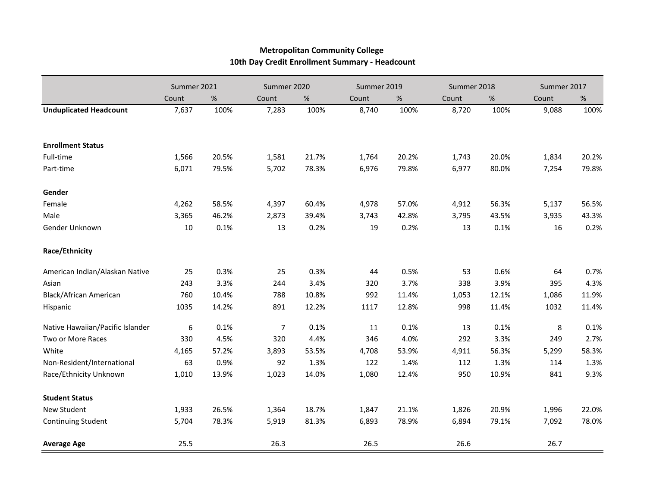|                                  | Summer 2021      |       | Summer 2020 |       | Summer 2019 |       | Summer 2018 |       | Summer 2017 |       |
|----------------------------------|------------------|-------|-------------|-------|-------------|-------|-------------|-------|-------------|-------|
|                                  | Count            | %     | Count       | %     | Count       | %     | Count       | %     | Count       | $\%$  |
| <b>Unduplicated Headcount</b>    | 7,637            | 100%  | 7,283       | 100%  | 8,740       | 100%  | 8,720       | 100%  | 9,088       | 100%  |
|                                  |                  |       |             |       |             |       |             |       |             |       |
| <b>Enrollment Status</b>         |                  |       |             |       |             |       |             |       |             |       |
| Full-time                        | 1,566            | 20.5% | 1,581       | 21.7% | 1,764       | 20.2% | 1,743       | 20.0% | 1,834       | 20.2% |
| Part-time                        | 6,071            | 79.5% | 5,702       | 78.3% | 6,976       | 79.8% | 6,977       | 80.0% | 7,254       | 79.8% |
| Gender                           |                  |       |             |       |             |       |             |       |             |       |
| Female                           | 4,262            | 58.5% | 4,397       | 60.4% | 4,978       | 57.0% | 4,912       | 56.3% | 5,137       | 56.5% |
| Male                             | 3,365            | 46.2% | 2,873       | 39.4% | 3,743       | 42.8% | 3,795       | 43.5% | 3,935       | 43.3% |
| Gender Unknown                   | 10               | 0.1%  | 13          | 0.2%  | 19          | 0.2%  | 13          | 0.1%  | 16          | 0.2%  |
| Race/Ethnicity                   |                  |       |             |       |             |       |             |       |             |       |
| American Indian/Alaskan Native   | 25               | 0.3%  | 25          | 0.3%  | 44          | 0.5%  | 53          | 0.6%  | 64          | 0.7%  |
| Asian                            | 243              | 3.3%  | 244         | 3.4%  | 320         | 3.7%  | 338         | 3.9%  | 395         | 4.3%  |
| <b>Black/African American</b>    | 760              | 10.4% | 788         | 10.8% | 992         | 11.4% | 1,053       | 12.1% | 1,086       | 11.9% |
| Hispanic                         | 1035             | 14.2% | 891         | 12.2% | 1117        | 12.8% | 998         | 11.4% | 1032        | 11.4% |
| Native Hawaiian/Pacific Islander | $\boldsymbol{6}$ | 0.1%  | 7           | 0.1%  | 11          | 0.1%  | 13          | 0.1%  | 8           | 0.1%  |
| Two or More Races                | 330              | 4.5%  | 320         | 4.4%  | 346         | 4.0%  | 292         | 3.3%  | 249         | 2.7%  |
| White                            | 4,165            | 57.2% | 3,893       | 53.5% | 4,708       | 53.9% | 4,911       | 56.3% | 5,299       | 58.3% |
| Non-Resident/International       | 63               | 0.9%  | 92          | 1.3%  | 122         | 1.4%  | 112         | 1.3%  | 114         | 1.3%  |
| Race/Ethnicity Unknown           | 1,010            | 13.9% | 1,023       | 14.0% | 1,080       | 12.4% | 950         | 10.9% | 841         | 9.3%  |
| <b>Student Status</b>            |                  |       |             |       |             |       |             |       |             |       |
| New Student                      | 1,933            | 26.5% | 1,364       | 18.7% | 1,847       | 21.1% | 1,826       | 20.9% | 1,996       | 22.0% |
| <b>Continuing Student</b>        | 5,704            | 78.3% | 5,919       | 81.3% | 6,893       | 78.9% | 6,894       | 79.1% | 7,092       | 78.0% |
| <b>Average Age</b>               | 25.5             |       | 26.3        |       | 26.5        |       | 26.6        |       | 26.7        |       |

## **Metropolitan Community College 10th Day Credit Enrollment Summary - Headcount**